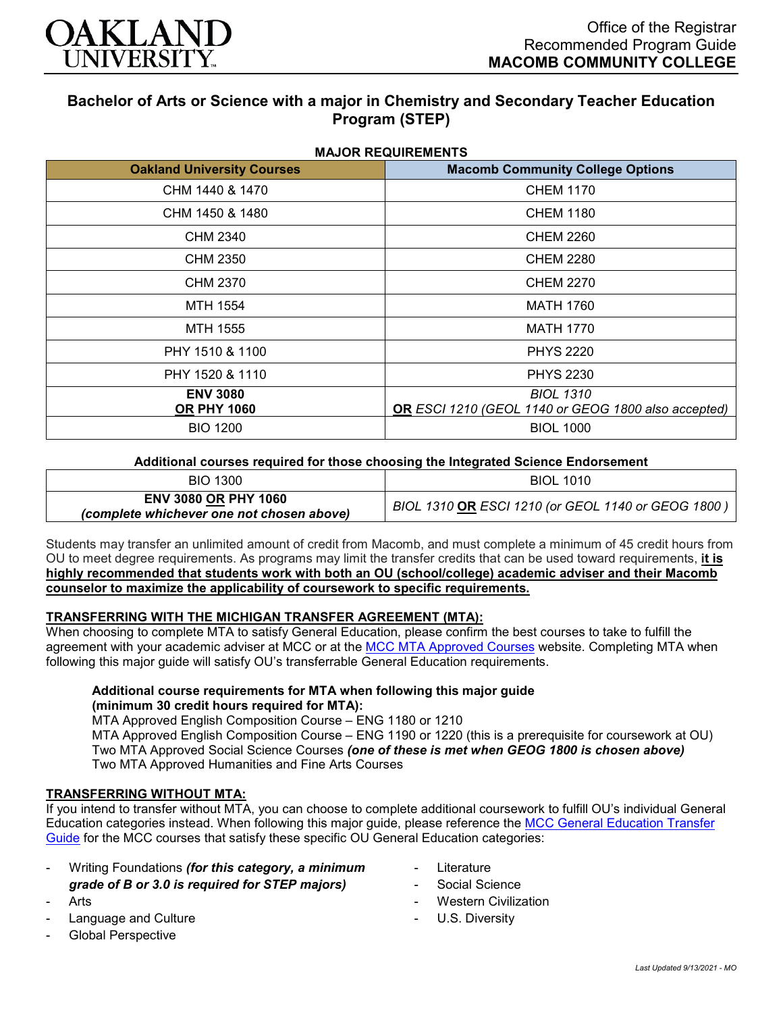

# **Bachelor of Arts or Science with a major in Chemistry and Secondary Teacher Education Program (STEP)**

| <b>MAJOR REQUIREMENTS</b>             |                                                                         |
|---------------------------------------|-------------------------------------------------------------------------|
| <b>Oakland University Courses</b>     | <b>Macomb Community College Options</b>                                 |
| CHM 1440 & 1470                       | <b>CHEM 1170</b>                                                        |
| CHM 1450 & 1480                       | <b>CHEM 1180</b>                                                        |
| CHM 2340                              | <b>CHEM 2260</b>                                                        |
| CHM 2350                              | <b>CHEM 2280</b>                                                        |
| CHM 2370                              | <b>CHEM 2270</b>                                                        |
| MTH 1554                              | <b>MATH 1760</b>                                                        |
| MTH 1555                              | <b>MATH 1770</b>                                                        |
| PHY 1510 & 1100                       | <b>PHYS 2220</b>                                                        |
| PHY 1520 & 1110                       | <b>PHYS 2230</b>                                                        |
| <b>ENV 3080</b><br><b>OR PHY 1060</b> | <b>BIOL 1310</b><br>OR ESCI 1210 (GEOL 1140 or GEOG 1800 also accepted) |
| <b>BIO 1200</b>                       | <b>BIOL 1000</b>                                                        |

#### **Additional courses required for those choosing the Integrated Science Endorsement**

| <b>BIO 1300</b>                                                          | <b>BIOL 1010</b>                                   |
|--------------------------------------------------------------------------|----------------------------------------------------|
| <b>ENV 3080 OR PHY 1060</b><br>(complete whichever one not chosen above) | BIOL 1310 OR ESCI 1210 (or GEOL 1140 or GEOG 1800) |

Students may transfer an unlimited amount of credit from Macomb, and must complete a minimum of 45 credit hours from OU to meet degree requirements. As programs may limit the transfer credits that can be used toward requirements, **it is highly recommended that students work with both an OU (school/college) academic adviser and their Macomb counselor to maximize the applicability of coursework to specific requirements.**

## **TRANSFERRING WITH THE MICHIGAN TRANSFER AGREEMENT (MTA):**

When choosing to complete MTA to satisfy General Education, please confirm the best courses to take to fulfill the agreement with your academic adviser at MCC or at the [MCC MTA Approved Courses](http://www.macomb.edu/resources/transfer-articulation/attachments/mta-macrao-course-list.pdf) website. Completing MTA when following this major guide will satisfy OU's transferrable General Education requirements.

## **Additional course requirements for MTA when following this major guide (minimum 30 credit hours required for MTA):**

MTA Approved English Composition Course – ENG 1180 or 1210 MTA Approved English Composition Course – ENG 1190 or 1220 (this is a prerequisite for coursework at OU) Two MTA Approved Social Science Courses *(one of these is met when GEOG 1800 is chosen above)* Two MTA Approved Humanities and Fine Arts Courses

## **TRANSFERRING WITHOUT MTA:**

If you intend to transfer without MTA, you can choose to complete additional coursework to fulfill OU's individual General Education categories instead. When following this major guide, please reference the [MCC General Education Transfer](https://wwwp.oakland.edu/Assets/Oakland/program-guides/macomb-community-college/university-general-education-requirements/MCC%20Gen%20Ed.pdf)  [Guide](https://wwwp.oakland.edu/Assets/Oakland/program-guides/macomb-community-college/university-general-education-requirements/MCC%20Gen%20Ed.pdf) for the MCC courses that satisfy these specific OU General Education categories:

- Writing Foundations *(for this category, a minimum grade of B or 3.0 is required for STEP majors)*
- **Arts**
- Language and Culture
- Global Perspective
- **Literature**
- Social Science
- **Western Civilization**
- U.S. Diversity